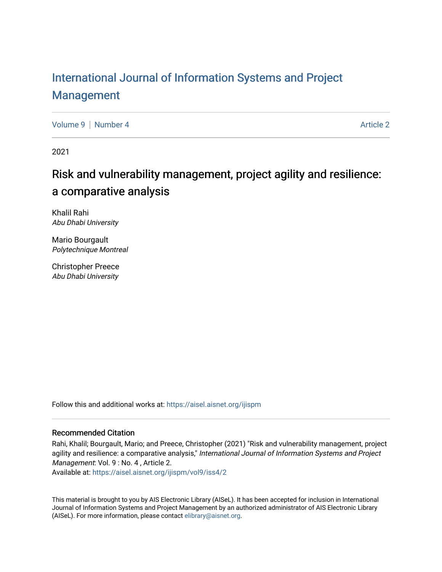# [International Journal of Information Systems and Project](https://aisel.aisnet.org/ijispm)  [Management](https://aisel.aisnet.org/ijispm)

[Volume 9](https://aisel.aisnet.org/ijispm/vol9) | [Number 4](https://aisel.aisnet.org/ijispm/vol9/iss4) Article 2

2021

# Risk and vulnerability management, project agility and resilience: a comparative analysis

Khalil Rahi Abu Dhabi University

Mario Bourgault Polytechnique Montreal

Christopher Preece Abu Dhabi University

Follow this and additional works at: [https://aisel.aisnet.org/ijispm](https://aisel.aisnet.org/ijispm?utm_source=aisel.aisnet.org%2Fijispm%2Fvol9%2Fiss4%2F2&utm_medium=PDF&utm_campaign=PDFCoverPages) 

## Recommended Citation

Rahi, Khalil; Bourgault, Mario; and Preece, Christopher (2021) "Risk and vulnerability management, project agility and resilience: a comparative analysis," International Journal of Information Systems and Project Management: Vol. 9 : No. 4, Article 2.

Available at: [https://aisel.aisnet.org/ijispm/vol9/iss4/2](https://aisel.aisnet.org/ijispm/vol9/iss4/2?utm_source=aisel.aisnet.org%2Fijispm%2Fvol9%2Fiss4%2F2&utm_medium=PDF&utm_campaign=PDFCoverPages) 

This material is brought to you by AIS Electronic Library (AISeL). It has been accepted for inclusion in International Journal of Information Systems and Project Management by an authorized administrator of AIS Electronic Library (AISeL). For more information, please contact [elibrary@aisnet.org](mailto:elibrary@aisnet.org%3E).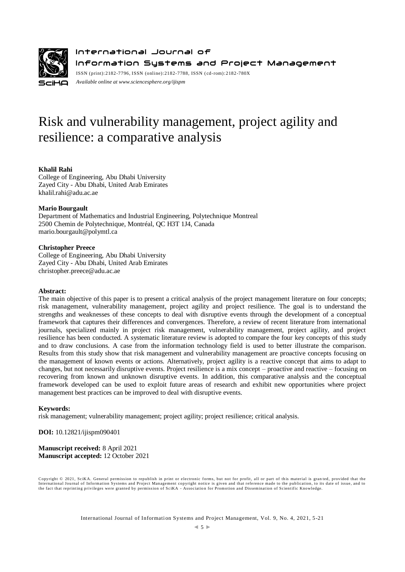

International Journal of Information Systems and Project Management ISSN (print):2182-7796, ISSN (online):2182-7788, ISSN ( cd-rom):2182-780X

*Available online a[t www.sciencesphere.org/ijispm](http://www.sciencesphere.org/ijispm)*

# Risk and vulnerability management, project agility and resilience: a comparative analysis

## **Khalil Rahi**

College of Engineering, Abu Dhabi University Zayed City - Abu Dhabi, United Arab Emirates khalil.rahi@adu.ac.ae

## **Mario Bourgault**

Department of Mathematics and Industrial Engineering, Polytechnique Montreal 2500 Chemin de Polytechnique, Montréal, QC H3T 1J4, Canada mario.bourgault@polymtl.ca

## **Christopher Preece**

College of Engineering, Abu Dhabi University Zayed City - Abu Dhabi, United Arab Emirates christopher.preece@adu.ac.ae

#### **Abstract:**

The main objective of this paper is to present a critical analysis of the project management literature on four concepts; risk management, vulnerability management, project agility and project resilience. The goal is to understand the strengths and weaknesses of these concepts to deal with disruptive events through the development of a conceptual framework that captures their differences and convergences. Therefore, a review of recent literature from international journals, specialized mainly in project risk management, vulnerability management, project agility, and project resilience has been conducted. A systematic literature review is adopted to compare the four key concepts of this study and to draw conclusions. A case from the information technology field is used to better illustrate the comparison. Results from this study show that risk management and vulnerability management are proactive concepts focusing on the management of known events or actions. Alternatively, project agility is a reactive concept that aims to adapt to changes, but not necessarily disruptive events. Project resilience is a mix concept – proactive and reactive – focusing on recovering from known and unknown disruptive events. In addition, this comparative analysis and the conceptual framework developed can be used to exploit future areas of research and exhibit new opportunities where project management best practices can be improved to deal with disruptive events.

#### **Keywords:**

risk management; vulnerability management; project agility; project resilience; critical analysis.

**DOI:** 10.12821/ijispm090401

**Manuscript received:** 8 April 2021 **Manuscript accepted:** 12 October 2021

Copyright © 2021, SciKA. General permission to republish in print or electronic forms, but not for profit, all or part of this material is granted, provided that the International Journal of Information Systems and Project Management copyright notice is given and that reference made to the publication, to its date of issue, and to<br>the fact that reprinting privileges were granted by per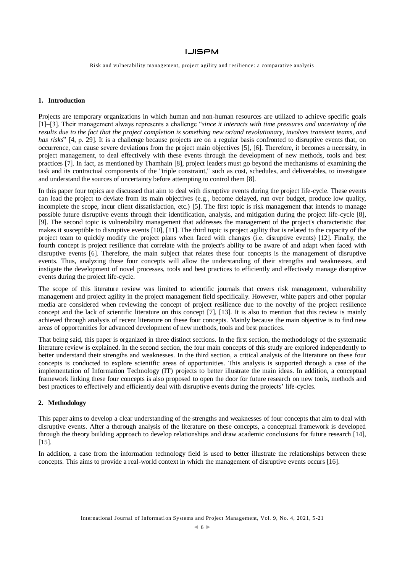Risk and vulnerability management, project agility and resilience: a comparative analysis

#### **1. Introduction**

Projects are temporary organizations in which human and non-human resources are utilized to achieve specific goals [1]–[3]. Their management always represents a challenge "*since it interacts with time pressures and uncertainty of the results due to the fact that the project completion is something new or/and revolutionary, involves transient teams, and has risks*" [4, p. 29]. It is a challenge because projects are on a regular basis confronted to disruptive events that, on occurrence, can cause severe deviations from the project main objectives [5], [6]. Therefore, it becomes a necessity, in project management, to deal effectively with these events through the development of new methods, tools and best practices [7]. In fact, as mentioned by Thamhain [8], project leaders must go beyond the mechanisms of examining the task and its contractual components of the "triple constraint," such as cost, schedules, and deliverables, to investigate and understand the sources of uncertainty before attempting to control them [8].

In this paper four topics are discussed that aim to deal with disruptive events during the project life-cycle. These events can lead the project to deviate from its main objectives (e.g., become delayed, run over budget, produce low quality, incomplete the scope, incur client dissatisfaction, etc.) [5]. The first topic is risk management that intends to manage possible future disruptive events through their identification, analysis, and mitigation during the project life-cycle [8], [9]. The second topic is vulnerability management that addresses the management of the project's characteristic that makes it susceptible to disruptive events [10], [11]. The third topic is project agility that is related to the capacity of the project team to quickly modify the project plans when faced with changes (i.e. disruptive events) [12]. Finally, the fourth concept is project resilience that correlate with the project's ability to be aware of and adapt when faced with disruptive events [6]. Therefore, the main subject that relates these four concepts is the management of disruptive events. Thus, analyzing these four concepts will allow the understanding of their strengths and weaknesses, and instigate the development of novel processes, tools and best practices to efficiently and effectively manage disruptive events during the project life-cycle.

The scope of this literature review was limited to scientific journals that covers risk management, vulnerability management and project agility in the project management field specifically. However, white papers and other popular media are considered when reviewing the concept of project resilience due to the novelty of the project resilience concept and the lack of scientific literature on this concept [7], [13]. It is also to mention that this review is mainly achieved through analysis of recent literature on these four concepts. Mainly because the main objective is to find new areas of opportunities for advanced development of new methods, tools and best practices.

That being said, this paper is organized in three distinct sections. In the first section, the methodology of the systematic literature review is explained. In the second section, the four main concepts of this study are explored independently to better understand their strengths and weaknesses. In the third section, a critical analysis of the literature on these four concepts is conducted to explore scientific areas of opportunities. This analysis is supported through a case of the implementation of Information Technology (IT) projects to better illustrate the main ideas. In addition, a conceptual framework linking these four concepts is also proposed to open the door for future research on new tools, methods and best practices to effectively and efficiently deal with disruptive events during the projects' life-cycles.

## **2. Methodology**

This paper aims to develop a clear understanding of the strengths and weaknesses of four concepts that aim to deal with disruptive events. After a thorough analysis of the literature on these concepts, a conceptual framework is developed through the theory building approach to develop relationships and draw academic conclusions for future research [14], [15].

In addition, a case from the information technology field is used to better illustrate the relationships between these concepts. This aims to provide a real-world context in which the management of disruptive events occurs [16].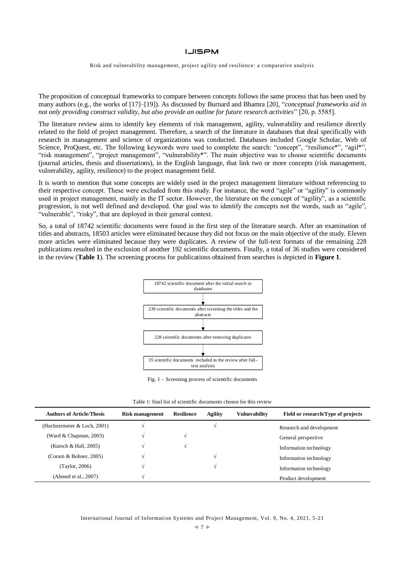Risk and vulnerability management, project agility and resilience: a comparative analysis

The proposition of conceptual frameworks to compare between concepts follows the same process that has been used by many authors (e.g., the works of [17]–[19]). As discussed by Burnard and Bhamra [20], "*conceptual frameworks aid in not only providing construct validity, but also provide an outline for future research activities*" [20, p. 5585].

The literature review aims to identify key elements of risk management, agility, vulnerability and resilience directly related to the field of project management. Therefore, a search of the literature in databases that deal specifically with research in management and science of organizations was conducted. Databases included Google Scholar, Web of Science, ProQuest, etc. The following keywords were used to complete the search: "concept", "resilience\*", "agil\*", "risk management", "project management", "vulnerability\*". The main objective was to choose scientific documents (journal articles, thesis and dissertations), in the English language, that link two or more concepts (risk management, vulnerability, agility, resilience) to the project management field.

It is worth to mention that some concepts are widely used in the project management literature without referencing to their respective concept. These were excluded from this study. For instance, the word "agile" or "agility" is commonly used in project management, mainly in the IT sector. However, the literature on the concept of "agility", as a scientific progression, is not well defined and developed. Our goal was to identify the concepts not the words, such as "agile", "vulnerable", "risky", that are deployed in their general context.

So, a total of 18742 scientific documents were found in the first step of the literature search. After an examination of titles and abstracts, 18503 articles were eliminated because they did not focus on the main objective of the study. Eleven more articles were eliminated because they were duplicates. A review of the full-text formats of the remaining 228 publications resulted in the exclusion of another 192 scientific documents. Finally, a total of 36 studies were considered in the review (**Table 1**). The screening process for publications obtained from searches is depicted in **Figure 1**.



Fig. 1 – Screening process of scientific documents

Table 1: final list of scientific documents chosen for this review

| <b>Authors of Article/Thesis</b> | Risk management | <b>Resilience</b> | Agility | <b>Vulnerability</b> | Field or research/Type of projects |
|----------------------------------|-----------------|-------------------|---------|----------------------|------------------------------------|
| (Huchzermeier & Loch, 2001)      |                 |                   |         |                      | Research and development           |
| (Ward & Chapman, 2003)           |                 |                   |         |                      | General perspective                |
| (Kutsch & Hall, 2005)            |                 |                   |         |                      | Information technology             |
| (Coram & Bohner, 2005)           |                 |                   |         |                      | Information technology             |
| (Taylor, 2006)                   |                 |                   |         |                      | Information technology             |
| (Ahmed et al., 2007)             |                 |                   |         |                      | Product development                |

International Journal of Information Systems and Project Management, Vol. 9, No. 4, 2021, 5-21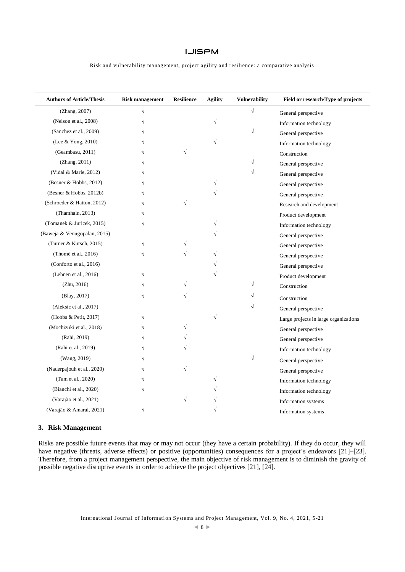Risk and vulnerability management, project agility and resilience: a comparative analysis

| <b>Authors of Article/Thesis</b> | <b>Risk management</b> | <b>Resilience</b> | <b>Agility</b> | <b>Vulnerability</b> | Field or research/Type of projects    |
|----------------------------------|------------------------|-------------------|----------------|----------------------|---------------------------------------|
| (Zhang, 2007)                    | $\sqrt{}$              |                   |                | $\sqrt{}$            | General perspective                   |
| (Nelson et al., 2008)            | $\sqrt{}$              |                   | $\sqrt{}$      |                      | Information technology                |
| (Sanchez et al., 2009)           |                        |                   |                | $\sqrt{}$            | General perspective                   |
| (Lee & Yong, 2010)               |                        |                   |                |                      | Information technology                |
| (Geambasu, 2011)                 |                        | $\sqrt{}$         |                |                      | Construction                          |
| (Zhang, 2011)                    |                        |                   |                | $\sqrt{}$            | General perspective                   |
| (Vidal & Marle, 2012)            |                        |                   |                | N                    | General perspective                   |
| (Besner & Hobbs, 2012)           |                        |                   |                |                      | General perspective                   |
| (Besner & Hobbs, 2012b)          |                        |                   |                |                      | General perspective                   |
| (Schroeder & Hatton, 2012)       |                        | $\sqrt{}$         |                |                      | Research and development              |
| (Thamhain, 2013)                 |                        |                   |                |                      | Product development                   |
| (Tomanek & Juricek, 2015)        | V                      |                   | $\sqrt{}$      |                      | Information technology                |
| (Baweja & Venugopalan, 2015)     |                        |                   |                |                      | General perspective                   |
| (Turner & Kutsch, 2015)          | V                      |                   |                |                      | General perspective                   |
| (Thomé et al., 2016)             |                        |                   | N              |                      | General perspective                   |
| (Conforto et al., 2016)          |                        |                   |                |                      | General perspective                   |
| (Lehnen et al., 2016)            |                        |                   |                |                      | Product development                   |
| (Zhu, 2016)                      |                        |                   |                | N                    | Construction                          |
| (Blay, 2017)                     | V                      | $\sqrt{}$         |                | V                    | Construction                          |
| (Aleksic et al., 2017)           |                        |                   |                | N                    | General perspective                   |
| (Hobbs & Petit, 2017)            |                        |                   |                |                      | Large projects in large organizations |
| (Mochizuki et al., 2018)         |                        |                   |                |                      | General perspective                   |
| (Rahi, 2019)                     |                        |                   |                |                      | General perspective                   |
| (Rahi et al., 2019)              |                        |                   |                |                      | Information technology                |
| (Wang, 2019)                     |                        |                   |                | $\sqrt{}$            | General perspective                   |
| (Naderpajouh et al., 2020)       |                        | $\sqrt{}$         |                |                      | General perspective                   |
| (Tam et al., 2020)               |                        |                   | V              |                      | Information technology                |
| (Bianchi et al., 2020)           |                        |                   |                |                      | Information technology                |
| (Varajão et al., 2021)           |                        | $\sqrt{}$         |                |                      | Information systems                   |
| (Varajão & Amaral, 2021)         | $\sqrt{}$              |                   |                |                      | Information systems                   |

## **3. Risk Management**

Risks are possible future events that may or may not occur (they have a certain probability). If they do occur, they will have negative (threats, adverse effects) or positive (opportunities) consequences for a project's endeavors [21]–[23]. Therefore, from a project management perspective, the main objective of risk management is to diminish the gravity of possible negative disruptive events in order to achieve the project objectives [21], [24].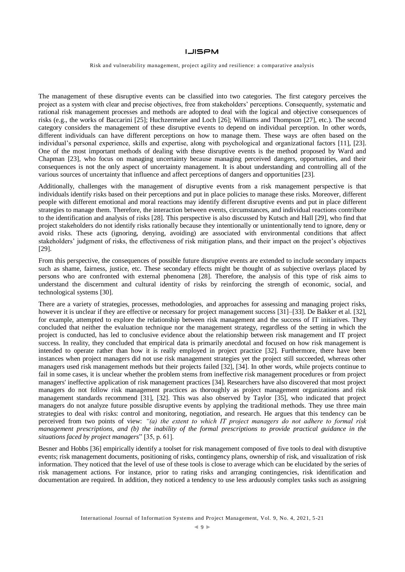Risk and vulnerability management, project agility and resilience: a comparative analysis

The management of these disruptive events can be classified into two categories. The first category perceives the project as a system with clear and precise objectives, free from stakeholders' perceptions. Consequently, systematic and rational risk management processes and methods are adopted to deal with the logical and objective consequences of risks (e.g., the works of Baccarini [25]; Huchzermeier and Loch [26]; Williams and Thompson [27], etc.). The second category considers the management of these disruptive events to depend on individual perception. In other words, different individuals can have different perceptions on how to manage them. These ways are often based on the individual's personal experience, skills and expertise, along with psychological and organizational factors [11], [23]. One of the most important methods of dealing with these disruptive events is the method proposed by Ward and Chapman [23], who focus on managing uncertainty because managing perceived dangers, opportunities, and their consequences is not the only aspect of uncertainty management. It is about understanding and controlling all of the various sources of uncertainty that influence and affect perceptions of dangers and opportunities [23].

Additionally, challenges with the management of disruptive events from a risk management perspective is that individuals identify risks based on their perceptions and put in place policies to manage these risks. Moreover, different people with different emotional and moral reactions may identify different disruptive events and put in place different strategies to manage them. Therefore, the interaction between events, circumstances, and individual reactions contribute to the identification and analysis of risks [28]. This perspective is also discussed by Kutsch and Hall [29], who find that project stakeholders do not identify risks rationally because they intentionally or unintentionally tend to ignore, deny or avoid risks. These acts (ignoring, denying, avoiding) are associated with environmental conditions that affect stakeholders' judgment of risks, the effectiveness of risk mitigation plans, and their impact on the project's objectives [29].

From this perspective, the consequences of possible future disruptive events are extended to include secondary impacts such as shame, fairness, justice, etc. These secondary effects might be thought of as subjective overlays placed by persons who are confronted with external phenomena [28]. Therefore, the analysis of this type of risk aims to understand the discernment and cultural identity of risks by reinforcing the strength of economic, social, and technological systems [30].

There are a variety of strategies, processes, methodologies, and approaches for assessing and managing project risks, however it is unclear if they are effective or necessary for project management success [31]–[33]. De Bakker et al. [32], for example, attempted to explore the relationship between risk management and the success of IT initiatives. They concluded that neither the evaluation technique nor the management strategy, regardless of the setting in which the project is conducted, has led to conclusive evidence about the relationship between risk management and IT project success. In reality, they concluded that empirical data is primarily anecdotal and focused on how risk management is intended to operate rather than how it is really employed in project practice [32]. Furthermore, there have been instances when project managers did not use risk management strategies yet the project still succeeded, whereas other managers used risk management methods but their projects failed [32], [34]. In other words, while projects continue to fail in some cases, it is unclear whether the problem stems from ineffective risk management procedures or from project managers' ineffective application of risk management practices [34]. Researchers have also discovered that most project managers do not follow risk management practices as thoroughly as project management organizations and risk management standards recommend [31], [32]. This was also observed by Taylor [35], who indicated that project managers do not analyze future possible disruptive events by applying the traditional methods. They use three main strategies to deal with risks: control and monitoring, negotiation, and research. He argues that this tendency can be perceived from two points of view: *"(a) the extent to which IT project managers do not adhere to formal risk management prescriptions, and (b) the inability of the formal prescriptions to provide practical guidance in the situations faced by project managers*" [35, p. 61].

Besner and Hobbs [36] empirically identify a toolset for risk management composed of five tools to deal with disruptive events; risk management documents, positioning of risks, contingency plans, ownership of risk, and visualization of risk information. They noticed that the level of use of these tools is close to average which can be elucidated by the series of risk management actions. For instance, prior to rating risks and arranging contingencies, risk identification and documentation are required*.* In addition, they noticed a tendency to use less arduously complex tasks such as assigning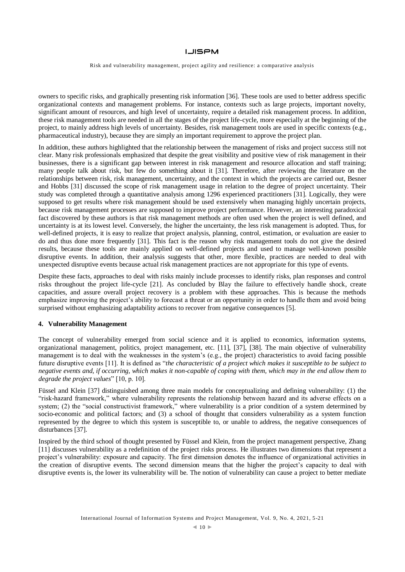Risk and vulnerability management, project agility and resilience: a comparative analysis

owners to specific risks, and graphically presenting risk information [36]. These tools are used to better address specific organizational contexts and management problems. For instance, contexts such as large projects, important novelty, significant amount of resources, and high level of uncertainty, require a detailed risk management process. In addition, these risk management tools are needed in all the stages of the project life-cycle, more especially at the beginning of the project, to mainly address high levels of uncertainty. Besides, risk management tools are used in specific contexts (e.g., pharmaceutical industry), because they are simply an important requirement to approve the project plan.

In addition, these authors highlighted that the relationship between the management of risks and project success still not clear. Many risk professionals emphasized that despite the great visibility and positive view of risk management in their businesses, there is a significant gap between interest in risk management and resource allocation and staff training; many people talk about risk, but few do something about it [31]. Therefore, after reviewing the literature on the relationships between risk, risk management, uncertainty, and the context in which the projects are carried out, Besner and Hobbs [31] discussed the scope of risk management usage in relation to the degree of project uncertainty. Their study was completed through a quantitative analysis among 1296 experienced practitioners [31]. Logically, they were supposed to get results where risk management should be used extensively when managing highly uncertain projects, because risk management processes are supposed to improve project performance. However, an interesting paradoxical fact discovered by these authors is that risk management methods are often used when the project is well defined, and uncertainty is at its lowest level. Conversely, the higher the uncertainty, the less risk management is adopted. Thus, for well-defined projects, it is easy to realize that project analysis, planning, control, estimation, or evaluation are easier to do and thus done more frequently [31]. This fact is the reason why risk management tools do not give the desired results, because these tools are mainly applied on well-defined projects and used to manage well-known possible disruptive events. In addition, their analysis suggests that other, more flexible, practices are needed to deal with unexpected disruptive events because actual risk management practices are not appropriate for this type of events.

Despite these facts, approaches to deal with risks mainly include processes to identify risks, plan responses and control risks throughout the project life-cycle [21]. As concluded by Blay the failure to effectively handle shock, create capacities, and assure overall project recovery is a problem with these approaches. This is because the methods emphasize improving the project's ability to forecast a threat or an opportunity in order to handle them and avoid being surprised without emphasizing adaptability actions to recover from negative consequences [5].

## **4. Vulnerability Management**

The concept of vulnerability emerged from social science and it is applied to economics, information systems, organizational management, politics, project management, etc. [11], [37], [38]. The main objective of vulnerability management is to deal with the weaknesses in the system's (e.g., the project) characteristics to avoid facing possible future disruptive events [11]. It is defined as "*the characteristic of a project which makes it susceptible to be subject to negative events and, if occurring, which makes it non-capable of coping with them, which may in the end allow them to degrade the project values*" [10, p. 10].

Füssel and Klein [37] distinguished among three main models for conceptualizing and defining vulnerability: (1) the "risk-hazard framework," where vulnerability represents the relationship between hazard and its adverse effects on a system; (2) the "social constructivist framework," where vulnerability is a prior condition of a system determined by socio-economic and political factors; and (3) a school of thought that considers vulnerability as a system function represented by the degree to which this system is susceptible to, or unable to address, the negative consequences of disturbances [37].

Inspired by the third school of thought presented by Füssel and Klein, from the project management perspective, Zhang [11] discusses vulnerability as a redefinition of the project risks process. He illustrates two dimensions that represent a project's vulnerability: exposure and capacity. The first dimension denotes the influence of organizational activities in the creation of disruptive events. The second dimension means that the higher the project's capacity to deal with disruptive events is, the lower its vulnerability will be. The notion of vulnerability can cause a project to better mediate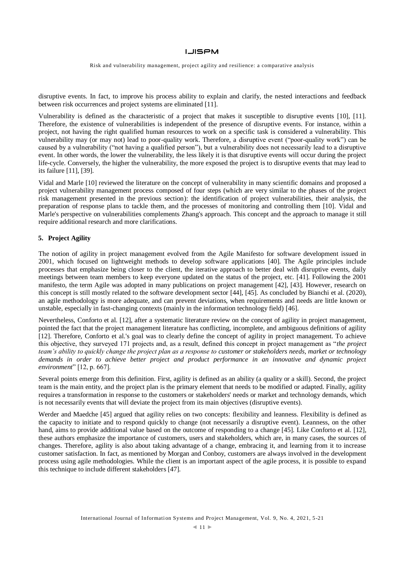Risk and vulnerability management, project agility and resilience: a comparative analysis

disruptive events. In fact, to improve his process ability to explain and clarify, the nested interactions and feedback between risk occurrences and project systems are eliminated [11].

Vulnerability is defined as the characteristic of a project that makes it susceptible to disruptive events [10], [11]. Therefore, the existence of vulnerabilities is independent of the presence of disruptive events. For instance, within a project, not having the right qualified human resources to work on a specific task is considered a vulnerability. This vulnerability may (or may not) lead to poor-quality work. Therefore, a disruptive event ("poor-quality work") can be caused by a vulnerability ("not having a qualified person"), but a vulnerability does not necessarily lead to a disruptive event. In other words, the lower the vulnerability, the less likely it is that disruptive events will occur during the project life-cycle. Conversely, the higher the vulnerability, the more exposed the project is to disruptive events that may lead to its failure [11], [39].

Vidal and Marle [10] reviewed the literature on the concept of vulnerability in many scientific domains and proposed a project vulnerability management process composed of four steps (which are very similar to the phases of the project risk management presented in the previous section): the identification of project vulnerabilities, their analysis, the preparation of response plans to tackle them, and the processes of monitoring and controlling them [10]. Vidal and Marle's perspective on vulnerabilities complements Zhang's approach. This concept and the approach to manage it still require additional research and more clarifications.

## **5. Project Agility**

The notion of agility in project management evolved from the Agile Manifesto for software development issued in 2001, which focused on lightweight methods to develop software applications [40]. The Agile principles include processes that emphasize being closer to the client, the iterative approach to better deal with disruptive events, daily meetings between team members to keep everyone updated on the status of the project, etc. [41]. Following the 2001 manifesto, the term Agile was adopted in many publications on project management [42], [43]. However, research on this concept is still mostly related to the software development sector [44], [45]. As concluded by Bianchi et al. (2020), an agile methodology is more adequate, and can prevent deviations, when requirements and needs are little known or unstable, especially in fast-changing contexts (mainly in the information technology field) [46].

Nevertheless, Conforto et al. [12], after a systematic literature review on the concept of agility in project management, pointed the fact that the project management literature has conflicting, incomplete, and ambiguous definitions of agility [12]. Therefore, Conforto et al.'s goal was to clearly define the concept of agility in project management. To achieve this objective, they surveyed 171 projects and, as a result, defined this concept in project management as "*the project team's ability to quickly change the project plan as a response to customer or stakeholders needs, market or technology demands in order to achieve better project and product performance in an innovative and dynamic project environment*" [12, p. 667].

Several points emerge from this definition. First, agility is defined as an ability (a quality or a skill). Second, the project team is the main entity, and the project plan is the primary element that needs to be modified or adapted. Finally, agility requires a transformation in response to the customers or stakeholders' needs or market and technology demands, which is not necessarily events that will deviate the project from its main objectives (disruptive events).

Werder and Maedche [45] argued that agility relies on two concepts: flexibility and leanness. Flexibility is defined as the capacity to initiate and to respond quickly to change (not necessarily a disruptive event). Leanness, on the other hand, aims to provide additional value based on the outcome of responding to a change [45]. Like Conforto et al. [12], these authors emphasize the importance of customers, users and stakeholders, which are, in many cases, the sources of changes. Therefore, agility is also about taking advantage of a change, embracing it, and learning from it to increase customer satisfaction. In fact, as mentioned by Morgan and Conboy, customers are always involved in the development process using agile methodologies. While the client is an important aspect of the agile process, it is possible to expand this technique to include different stakeholders [47].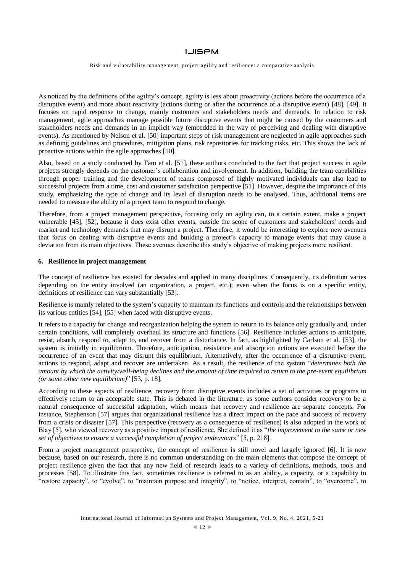Risk and vulnerability management, project agility and resilience: a comparative analysis

As noticed by the definitions of the agility's concept, agility is less about proactivity (actions before the occurrence of a disruptive event) and more about reactivity (actions during or after the occurrence of a disruptive event) [48], [49]. It focuses on rapid response to change, mainly customers and stakeholders needs and demands. In relation to risk management, agile approaches manage possible future disruptive events that might be caused by the customers and stakeholders needs and demands in an implicit way (embedded in the way of perceiving and dealing with disruptive events). As mentioned by Nelson et al. [50] important steps of risk management are neglected in agile approaches such as defining guidelines and procedures, mitigation plans, risk repositories for tracking risks, etc. This shows the lack of proactive actions within the agile approaches [50].

Also, based on a study conducted by Tam et al. [51], these authors concluded to the fact that project success in agile projects strongly depends on the customer's collaboration and involvement. In addition, building the team capabilities through proper training and the development of teams composed of highly motivated individuals can also lead to successful projects from a time, cost and customer satisfaction perspective [51]. However, despite the importance of this study, emphasizing the type of change and its level of disruption needs to be analysed. Thus, additional items are needed to measure the ability of a project team to respond to change.

Therefore, from a project management perspective, focusing only on agility can, to a certain extent, make a project vulnerable [45], [52], because it does exist other events, outside the scope of customers and stakeholders' needs and market and technology demands that may disrupt a project. Therefore, it would be interesting to explore new avenues that focus on dealing with disruptive events and building a project's capacity to manage events that may cause a deviation from its main objectives. These avenues describe this study's objective of making projects more resilient.

#### **6. Resilience in project management**

The concept of resilience has existed for decades and applied in many disciplines. Consequently, its definition varies depending on the entity involved (an organization, a project, etc.); even when the focus is on a specific entity, definitions of resilience can vary substantially [53].

Resilience is mainly related to the system's capacity to maintain its functions and controls and the relationships between its various entities [54], [55] when faced with disruptive events.

It refers to a capacity for change and reorganization helping the system to return to its balance only gradually and, under certain conditions, will completely overhaul its structure and functions [56]. Resilience includes actions to anticipate, resist, absorb, respond to, adapt to, and recover from a disturbance. In fact, as highlighted by Carlson et al. [53], the system is initially in equilibrium. Therefore, anticipation, resistance and absorption actions are executed before the occurrence of an event that may disrupt this equilibrium. Alternatively, after the occurrence of a disruptive event, actions to respond, adapt and recover are undertaken. As a result, the resilience of the system "*determines both the amount by which the activity/well-being declines and the amount of time required to return to the pre-event equilibrium (or some other new equilibrium)*" [53, p. 18].

According to these aspects of resilience, recovery from disruptive events includes a set of activities or programs to effectively return to an acceptable state. This is debated in the literature, as some authors consider recovery to be a natural consequence of successful adaptation, which means that recovery and resilience are separate concepts. For instance, Stephenson [57] argues that organizational resilience has a direct impact on the pace and success of recovery from a crisis or disaster [57]. This perspective (recovery as a consequence of resilience) is also adopted in the work of Blay [5], who viewed recovery as a positive impact of resilience. She defined it as "*the improvement to the same or new set of objectives to ensure a successful completion of project endeavours*" [5, p. 218].

From a project management perspective, the concept of resilience is still novel and largely ignored [6]. It is new because, based on our research, there is no common understanding on the main elements that compose the concept of project resilience given the fact that any new field of research leads to a variety of definitions, methods, tools and processes [58]. To illustrate this fact, sometimes resilience is referred to as an ability, a capacity, or a capability to "restore capacity", to "evolve", to "maintain purpose and integrity", to "notice, interpret, contain", to "overcome", to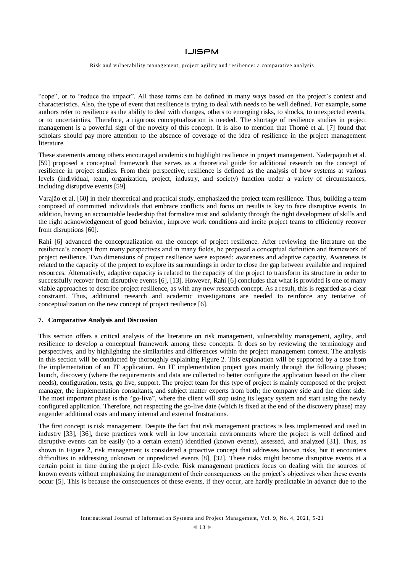Risk and vulnerability management, project agility and resilience: a comparative analysis

"cope", or to "reduce the impact". All these terms can be defined in many ways based on the project's context and characteristics. Also, the type of event that resilience is trying to deal with needs to be well defined. For example, some authors refer to resilience as the ability to deal with changes, others to emerging risks, to shocks, to unexpected events, or to uncertainties. Therefore, a rigorous conceptualization is needed. The shortage of resilience studies in project management is a powerful sign of the novelty of this concept. It is also to mention that Thomé et al. [7] found that scholars should pay more attention to the absence of coverage of the idea of resilience in the project management literature.

These statements among others encouraged academics to highlight resilience in project management. Naderpajouh et al. [59] proposed a conceptual framework that serves as a theoretical guide for additional research on the concept of resilience in project studies. From their perspective, resilience is defined as the analysis of how systems at various levels (individual, team, organization, project, industry, and society) function under a variety of circumstances, including disruptive events [59].

Varajão et al. [60] in their theoretical and practical study, emphasized the project team resilience. Thus, building a team composed of committed individuals that embrace conflicts and focus on results is key to face disruptive events. In addition, having an accountable leadership that formalize trust and solidarity through the right development of skills and the right acknowledgement of good behavior, improve work conditions and incite project teams to efficiently recover from disruptions [60].

Rahi [6] advanced the conceptualization on the concept of project resilience. After reviewing the literature on the resilience's concept from many perspectives and in many fields, he proposed a conceptual definition and framework of project resilience. Two dimensions of project resilience were exposed: awareness and adaptive capacity. Awareness is related to the capacity of the project to explore its surroundings in order to close the gap between available and required resources. Alternatively, adaptive capacity is related to the capacity of the project to transform its structure in order to successfully recover from disruptive events [6], [13]. However, Rahi [6] concludes that what is provided is one of many viable approaches to describe project resilience, as with any new research concept. As a result, this is regarded as a clear constraint. Thus, additional research and academic investigations are needed to reinforce any tentative of conceptualization on the new concept of project resilience [6].

#### **7. Comparative Analysis and Discussion**

This section offers a critical analysis of the literature on risk management, vulnerability management, agility, and resilience to develop a conceptual framework among these concepts. It does so by reviewing the terminology and perspectives, and by highlighting the similarities and differences within the project management context. The analysis in this section will be conducted by thoroughly explaining Figure 2. This explanation will be supported by a case from the implementation of an IT application. An IT implementation project goes mainly through the following phases; launch, discovery (where the requirements and data are collected to better configure the application based on the client needs), configuration, tests, go live, support. The project team for this type of project is mainly composed of the project manager, the implementation consultants, and subject matter experts from both; the company side and the client side. The most important phase is the "go-live", where the client will stop using its legacy system and start using the newly configured application. Therefore, not respecting the go-live date (which is fixed at the end of the discovery phase) may engender additional costs and many internal and external frustrations.

The first concept is risk management. Despite the fact that risk management practices is less implemented and used in industry [33], [36], these practices work well in low uncertain environments where the project is well defined and disruptive events can be easily (to a certain extent) identified (known events), assessed, and analyzed [31]. Thus, as shown in Figure 2, risk management is considered a proactive concept that addresses known risks, but it encounters difficulties in addressing unknown or unpredicted events [8], [32]. These risks might become disruptive events at a certain point in time during the project life-cycle. Risk management practices focus on dealing with the sources of known events without emphasizing the management of their consequences on the project's objectives when these events occur [5]. This is because the consequences of these events, if they occur, are hardly predictable in advance due to the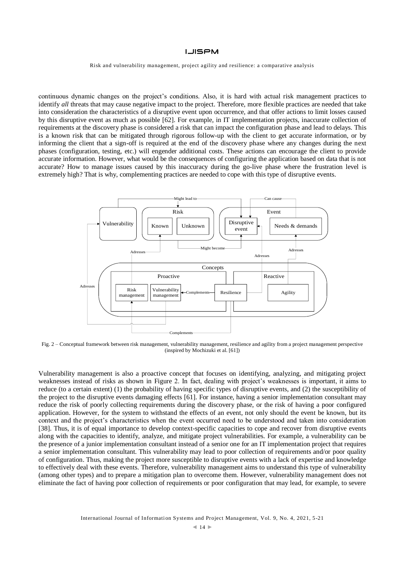Risk and vulnerability management, project agility and resilience: a comparative analysis

continuous dynamic changes on the project's conditions. Also, it is hard with actual risk management practices to identify *all* threats that may cause negative impact to the project. Therefore, more flexible practices are needed that take into consideration the characteristics of a disruptive event upon occurrence, and that offer actions to limit losses caused by this disruptive event as much as possible [62]. For example, in IT implementation projects, inaccurate collection of requirements at the discovery phase is considered a risk that can impact the configuration phase and lead to delays. This is a known risk that can be mitigated through rigorous follow-up with the client to get accurate information, or by informing the client that a sign-off is required at the end of the discovery phase where any changes during the next phases (configuration, testing, etc.) will engender additional costs. These actions can encourage the client to provide accurate information. However, what would be the consequences of configuring the application based on data that is not accurate? How to manage issues caused by this inaccuracy during the go-live phase where the frustration level is extremely high? That is why, complementing practices are needed to cope with this type of disruptive events.



Fig. 2 – Conceptual framework between risk management, vulnerability management, resilience and agility from a project management perspective (inspired by Mochizuki et al. [61])

Vulnerability management is also a proactive concept that focuses on identifying, analyzing, and mitigating project weaknesses instead of risks as shown in Figure 2. In fact, dealing with project's weaknesses is important, it aims to reduce (to a certain extent) (1) the probability of having specific types of disruptive events, and (2) the susceptibility of the project to the disruptive events damaging effects [61]. For instance, having a senior implementation consultant may reduce the risk of poorly collecting requirements during the discovery phase, or the risk of having a poor configured application. However, for the system to withstand the effects of an event, not only should the event be known, but its context and the project's characteristics when the event occurred need to be understood and taken into consideration [38]. Thus, it is of equal importance to develop context-specific capacities to cope and recover from disruptive events along with the capacities to identify, analyze, and mitigate project vulnerabilities. For example, a vulnerability can be the presence of a junior implementation consultant instead of a senior one for an IT implementation project that requires a senior implementation consultant. This vulnerability may lead to poor collection of requirements and/or poor quality of configuration. Thus, making the project more susceptible to disruptive events with a lack of expertise and knowledge to effectively deal with these events. Therefore, vulnerability management aims to understand this type of vulnerability (among other types) and to prepare a mitigation plan to overcome them. However, vulnerability management does not eliminate the fact of having poor collection of requirements or poor configuration that may lead, for example, to severe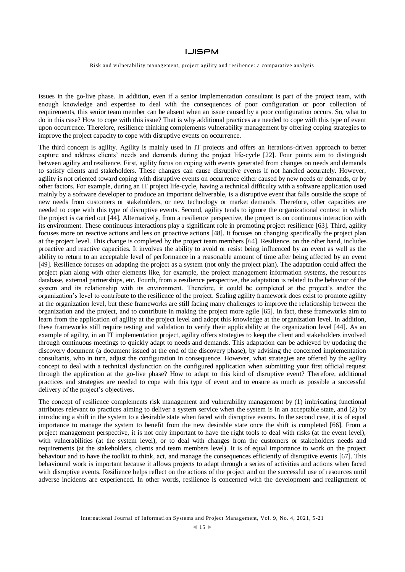Risk and vulnerability management, project agility and resilience: a comparative analysis

issues in the go-live phase. In addition, even if a senior implementation consultant is part of the project team, with enough knowledge and expertise to deal with the consequences of poor configuration or poor collection of requirements, this senior team member can be absent when an issue caused by a poor configuration occurs. So, what to do in this case? How to cope with this issue? That is why additional practices are needed to cope with this type of event upon occurrence. Therefore, resilience thinking complements vulnerability management by offering coping strategies to improve the project capacity to cope with disruptive events on occurrence.

The third concept is agility. Agility is mainly used in IT projects and offers an iterations-driven approach to better capture and address clients' needs and demands during the project life-cycle [22]. Four points aim to distinguish between agility and resilience. First, agility focus on coping with events generated from changes on needs and demands to satisfy clients and stakeholders. These changes can cause disruptive events if not handled accurately. However, agility is not oriented toward coping with disruptive events on occurrence either caused by new needs or demands, or by other factors. For example, during an IT project life-cycle, having a technical difficulty with a software application used mainly by a software developer to produce an important deliverable, is a disruptive event that falls outside the scope of new needs from customers or stakeholders, or new technology or market demands. Therefore, other capacities are needed to cope with this type of disruptive events. Second, agility tends to ignore the organizational context in which the project is carried out [44]. Alternatively, from a resilience perspective, the project is on continuous interaction with its environment. These continuous interactions play a significant role in promoting project resilience [63]. Third, agility focuses more on reactive actions and less on proactive actions [48]. It focuses on changing specifically the project plan at the project level. This change is completed by the project team members [64]. Resilience, on the other hand, includes proactive and reactive capacities. It involves the ability to avoid or resist being influenced by an event as well as the ability to return to an acceptable level of performance in a reasonable amount of time after being affected by an event [49]. Resilience focuses on adapting the project as a system (not only the project plan). The adaptation could affect the project plan along with other elements like, for example, the project management information systems, the resources database, external partnerships, etc. Fourth, from a resilience perspective, the adaptation is related to the behavior of the system and its relationship with its environment. Therefore, it could be completed at the project's and/or the organization's level to contribute to the resilience of the project. Scaling agility framework does exist to promote agility at the organization level, but these frameworks are still facing many challenges to improve the relationship between the organization and the project, and to contribute in making the project more agile [65]. In fact, these frameworks aim to learn from the application of agility at the project level and adopt this knowledge at the organization level. In addition, these frameworks still require testing and validation to verify their applicability at the organization level [44]. As an example of agility, in an IT implementation project, agility offers strategies to keep the client and stakeholders involved through continuous meetings to quickly adapt to needs and demands. This adaptation can be achieved by updating the discovery document (a document issued at the end of the discovery phase), by advising the concerned implementation consultants, who in turn, adjust the configuration in consequence. However, what strategies are offered by the agility concept to deal with a technical dysfunction on the configured application when submitting your first official request through the application at the go-live phase? How to adapt to this kind of disruptive event? Therefore, additional practices and strategies are needed to cope with this type of event and to ensure as much as possible a successful delivery of the project's objectives.

The concept of resilience complements risk management and vulnerability management by (1) imbricating functional attributes relevant to practices aiming to deliver a system service when the system is in an acceptable state, and (2) by introducing a shift in the system to a desirable state when faced with disruptive events. In the second case, it is of equal importance to manage the system to benefit from the new desirable state once the shift is completed [66]. From a project management perspective, it is not only important to have the right tools to deal with risks (at the event level), with vulnerabilities (at the system level), or to deal with changes from the customers or stakeholders needs and requirements (at the stakeholders, clients and team members level). It is of equal importance to work on the project behaviour and to have the toolkit to think, act, and manage the consequences efficiently of disruptive events [67]. This behavioural work is important because it allows projects to adapt through a series of activities and actions when faced with disruptive events. Resilience helps reflect on the actions of the project and on the successful use of resources until adverse incidents are experienced. In other words, resilience is concerned with the development and realignment of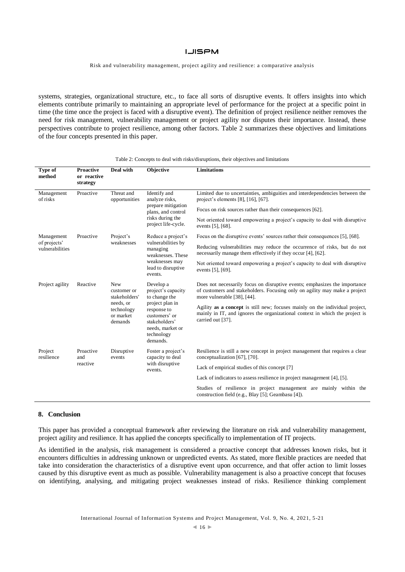Risk and vulnerability management, project agility and resilience: a comparative analysis

systems, strategies, organizational structure, etc., to face all sorts of disruptive events. It offers insights into which elements contribute primarily to maintaining an appropriate level of performance for the project at a specific point in time (the time once the project is faced with a disruptive event). The definition of project resilience neither removes the need for risk management, vulnerability management or project agility nor disputes their importance. Instead, these perspectives contribute to project resilience, among other factors. Table 2 summarizes these objectives and limitations of the four concepts presented in this paper.

| Type of<br>method                             | <b>Proactive</b><br>or reactive<br>strategy | Deal with                                                                                     | <b>Objective</b>                                                                                                                                                   | <b>Limitations</b>                                                                                                                                                                      |  |  |
|-----------------------------------------------|---------------------------------------------|-----------------------------------------------------------------------------------------------|--------------------------------------------------------------------------------------------------------------------------------------------------------------------|-----------------------------------------------------------------------------------------------------------------------------------------------------------------------------------------|--|--|
| Management<br>of risks                        | Proactive                                   | Threat and<br>opportunities                                                                   | Identify and<br>analyze risks,<br>prepare mitigation<br>plans, and control<br>risks during the<br>project life-cycle.                                              | Limited due to uncertainties, ambiguities and interdependencies between the<br>project's elements [8], [16], [67].                                                                      |  |  |
|                                               |                                             |                                                                                               |                                                                                                                                                                    | Focus on risk sources rather than their consequences [62].                                                                                                                              |  |  |
|                                               |                                             |                                                                                               |                                                                                                                                                                    | Not oriented toward empowering a project's capacity to deal with disruptive<br>events [5], [68].                                                                                        |  |  |
| Management<br>of projects'<br>vulnerabilities | Proactive                                   | Project's<br>weaknesses                                                                       | Reduce a project's<br>vulnerabilities by<br>managing<br>weaknesses. These<br>weaknesses may<br>lead to disruptive<br>events.                                       | Focus on the disruptive events' sources rather their consequences [5], [68].                                                                                                            |  |  |
|                                               |                                             |                                                                                               |                                                                                                                                                                    | Reducing vulnerabilities may reduce the occurrence of risks, but do not<br>necessarily manage them effectively if they occur [4], [62].                                                 |  |  |
|                                               |                                             |                                                                                               |                                                                                                                                                                    | Not oriented toward empowering a project's capacity to deal with disruptive<br>events [5], [69].                                                                                        |  |  |
| Project agility                               | Reactive                                    | <b>New</b><br>customer or<br>stakeholders'<br>needs, or<br>technology<br>or market<br>demands | Develop a<br>project's capacity<br>to change the<br>project plan in<br>response to<br>customers' or<br>stakeholders'<br>needs, market or<br>technology<br>demands. | Does not necessarily focus on disruptive events; emphasizes the importance<br>of customers and stakeholders. Focusing only on agility may make a project<br>more vulnerable [38], [44]. |  |  |
|                                               |                                             |                                                                                               |                                                                                                                                                                    | Agility as a concept is still new; focuses mainly on the individual project,<br>mainly in IT, and ignores the organizational context in which the project is<br>carried out [37].       |  |  |
| Project<br>resilience                         | Proactive<br>and<br>reactive                | Disruptive<br>events                                                                          | Foster a project's<br>capacity to deal<br>with disruptive<br>events.                                                                                               | Resilience is still a new concept in project management that requires a clear<br>conceptualization [67], [70].                                                                          |  |  |
|                                               |                                             |                                                                                               |                                                                                                                                                                    | Lack of empirical studies of this concept [7]                                                                                                                                           |  |  |
|                                               |                                             |                                                                                               |                                                                                                                                                                    | Lack of indicators to assess resilience in project management [4], [5].                                                                                                                 |  |  |
|                                               |                                             |                                                                                               |                                                                                                                                                                    | Studies of resilience in project management are mainly within the<br>construction field (e.g., Blay [5]; Geambasu [4]).                                                                 |  |  |

Table 2: Concepts to deal with risks/disruptions, their objectives and limitations

#### **8. Conclusion**

This paper has provided a conceptual framework after reviewing the literature on risk and vulnerability management, project agility and resilience. It has applied the concepts specifically to implementation of IT projects.

As identified in the analysis, risk management is considered a proactive concept that addresses known risks, but it encounters difficulties in addressing unknown or unpredicted events. As stated, more flexible practices are needed that take into consideration the characteristics of a disruptive event upon occurrence, and that offer action to limit losses caused by this disruptive event as much as possible. Vulnerability management is also a proactive concept that focuses on identifying, analysing, and mitigating project weaknesses instead of risks. Resilience thinking complement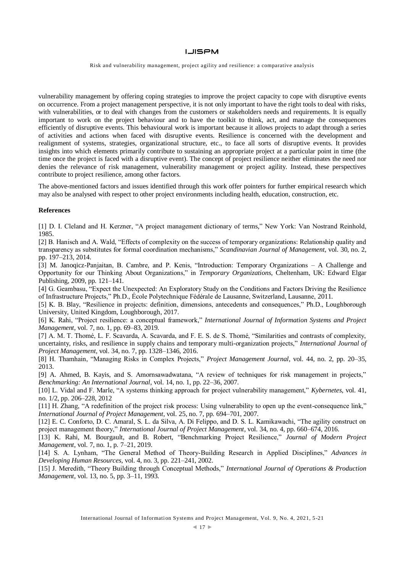Risk and vulnerability management, project agility and resilience: a comparative analysis

vulnerability management by offering coping strategies to improve the project capacity to cope with disruptive events on occurrence. From a project management perspective, it is not only important to have the right tools to deal with risks, with vulnerabilities, or to deal with changes from the customers or stakeholders needs and requirements. It is equally important to work on the project behaviour and to have the toolkit to think, act, and manage the consequences efficiently of disruptive events. This behavioural work is important because it allows projects to adapt through a series of activities and actions when faced with disruptive events. Resilience is concerned with the development and realignment of systems, strategies, organizational structure, etc., to face all sorts of disruptive events. It provides insights into which elements primarily contribute to sustaining an appropriate project at a particular point in time (the time once the project is faced with a disruptive event). The concept of project resilience neither eliminates the need nor denies the relevance of risk management, vulnerability management or project agility. Instead, these perspectives contribute to project resilience, among other factors.

The above-mentioned factors and issues identified through this work offer pointers for further empirical research which may also be analysed with respect to other project environments including health, education, construction, etc.

#### **References**

[1] D. I. Cleland and H. Kerzner, "A project management dictionary of terms," New York: Van Nostrand Reinhold, 1985.

[2] B. Hanisch and A. Wald, "Effects of complexity on the success of temporary organizations: Relationship quality and transparency as substitutes for formal coordination mechanisms," *Scandinavian Journal of Management*, vol. 30, no. 2, pp. 197–213, 2014.

[3] M. Janoqicz-Panjaitan, B. Cambre, and P. Kenis, "Introduction: Temporary Organizations – A Challenge and Opportunity for our Thinking About Organizations," in *Temporary Organizations*, Cheltenham, UK: Edward Elgar Publishing, 2009, pp. 121–141.

[4] G. Geambasu, "Expect the Unexpected: An Exploratory Study on the Conditions and Factors Driving the Resilience of Infrastructure Projects," Ph.D., École Polytechnique Fédérale de Lausanne, Switzerland, Lausanne, 2011.

[5] K. B. Blay, "Resilience in projects: definition, dimensions, antecedents and consequences," Ph.D., Loughborough University, United Kingdom, Loughborough, 2017.

[6] K. Rahi, "Project resilience: a conceptual framework," *International Journal of Information Systems and Project Management*, vol. 7, no. 1, pp. 69–83, 2019.

[7] A. M. T. Thomé, L. F. Scavarda, A. Scavarda, and F. E. S. de S. Thomé, "Similarities and contrasts of complexity, uncertainty, risks, and resilience in supply chains and temporary multi-organization projects," *International Journal of Project Management*, vol. 34, no. 7, pp. 1328–1346, 2016.

[8] H. Thamhain, "Managing Risks in Complex Projects," *Project Management Journal*, vol. 44, no. 2, pp. 20–35, 2013.

[9] A. Ahmed, B. Kayis, and S. Amornsawadwatana, "A review of techniques for risk management in projects," *Benchmarking: An International Journal*, vol. 14, no. 1, pp. 22–36, 2007.

[10] L. Vidal and F. Marle, "A systems thinking approach for project vulnerability management," *Kybernetes*, vol. 41, no. 1/2, pp. 206–228, 2012

[11] H. Zhang, "A redefinition of the project risk process: Using vulnerability to open up the event-consequence link," *International Journal of Project Management*, vol. 25, no. 7, pp. 694–701, 2007.

[12] E. C. Conforto, D. C. Amaral, S. L. da Silva, A. Di Felippo, and D. S. L. Kamikawachi, "The agility construct on project management theory," *International Journal of Project Management*, vol. 34, no. 4, pp. 660–674, 2016.

[13] K. Rahi, M. Bourgault, and B. Robert, "Benchmarking Project Resilience," *Journal of Modern Project Management*, vol. 7, no. 1, p. 7–21, 2019.

[14] S. A. Lynham, "The General Method of Theory-Building Research in Applied Disciplines," *Advances in Developing Human Resources*, vol. 4, no. 3, pp. 221–241, 2002.

[15] J. Meredith, "Theory Building through Conceptual Methods," *International Journal of Operations & Production Management*, vol. 13, no. 5, pp. 3–11, 1993.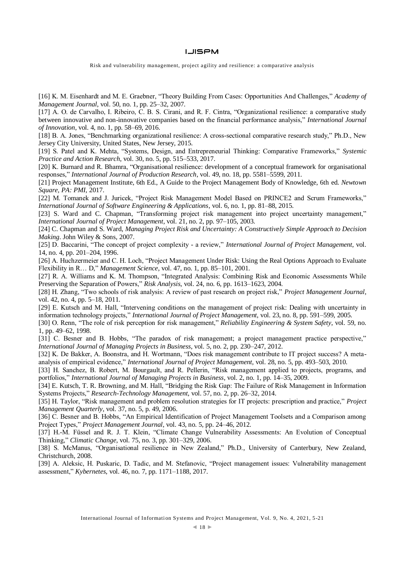Risk and vulnerability management, project agility and resilience: a comparative analysis

[16] K. M. Eisenhardt and M. E. Graebner, "Theory Building From Cases: Opportunities And Challenges," *Academy of Management Journal*, vol. 50, no. 1, pp. 25–32, 2007.

[17] A. O. de Carvalho, I. Ribeiro, C. B. S. Cirani, and R. F. Cintra, "Organizational resilience: a comparative study between innovative and non-innovative companies based on the financial performance analysis," *International Journal of Innovation*, vol. 4, no. 1, pp. 58–69, 2016.

[18] B. A. Jones, "Benchmarking organizational resilience: A cross-sectional comparative research study," Ph.D., New Jersey City University, United States, New Jersey, 2015.

[19] S. Patel and K. Mehta, "Systems, Design, and Entrepreneurial Thinking: Comparative Frameworks," *Systemic Practice and Action Research*, vol. 30, no. 5, pp. 515–533, 2017.

[20] K. Burnard and R. Bhamra, "Organisational resilience: development of a conceptual framework for organisational responses," *International Journal of Production Research*, vol. 49, no. 18, pp. 5581–5599, 2011.

[21] Project Management Institute, 6th Ed., A Guide to the Project Management Body of Knowledge, 6th ed. *Newtown Square, PA: PMI*, 2017.

[22] M. Tomanek and J. Juricek, "Project Risk Management Model Based on PRINCE2 and Scrum Frameworks," *International Journal of Software Engineering & Applications*, vol. 6, no. 1, pp. 81–88, 2015.

[23] S. Ward and C. Chapman, "Transforming project risk management into project uncertainty management," *International Journal of Project Management*, vol. 21, no. 2, pp. 97–105, 2003.

[24] C. Chapman and S. Ward, *Managing Project Risk and Uncertainty: A Constructively Simple Approach to Decision Making*. John Wiley & Sons, 2007.

[25] D. Baccarini, "The concept of project complexity - a review," *International Journal of Project Management*, vol. 14, no. 4, pp. 201–204, 1996.

[26] A. Huchzermeier and C. H. Loch, "Project Management Under Risk: Using the Real Options Approach to Evaluate Flexibility in R… D," *Management Science*, vol. 47, no. 1, pp. 85–101, 2001.

[27] R. A. Williams and K. M. Thompson, "Integrated Analysis: Combining Risk and Economic Assessments While Preserving the Separation of Powers," *Risk Analysis*, vol. 24, no. 6, pp. 1613–1623, 2004.

[28] H. Zhang, "Two schools of risk analysis: A review of past research on project risk," *Project Management Journal*, vol. 42, no. 4, pp. 5–18, 2011.

[29] E. Kutsch and M. Hall, "Intervening conditions on the management of project risk: Dealing with uncertainty in information technology projects," *International Journal of Project Management*, vol. 23, no. 8, pp. 591–599, 2005.

[30] O. Renn, "The role of risk perception for risk management," *Reliability Engineering & System Safety*, vol. 59, no. 1, pp. 49–62, 1998.

[31] C. Besner and B. Hobbs, "The paradox of risk management; a project management practice perspective," *International Journal of Managing Projects in Business*, vol. 5, no. 2, pp. 230–247, 2012.

[32] K. De Bakker, A. Boonstra, and H. Wortmann, "Does risk management contribute to IT project success? A metaanalysis of empirical evidence," *International Journal of Project Management*, vol. 28, no. 5, pp. 493–503, 2010.

[33] H. Sanchez, B. Robert, M. Bourgault, and R. Pellerin, "Risk management applied to projects, programs, and portfolios," *International Journal of Managing Projects in Business*, vol. 2, no. 1, pp. 14–35, 2009.

[34] E. Kutsch, T. R. Browning, and M. Hall, "Bridging the Risk Gap: The Failure of Risk Management in Information Systems Projects," *Research-Technology Management*, vol. 57, no. 2, pp. 26–32, 2014.

[35] H. Taylor, "Risk management and problem resolution strategies for IT projects: prescription and practice," *Project Management Quarterly*, vol. 37, no. 5, p. 49, 2006.

[36] C. Besner and B. Hobbs, "An Empirical Identification of Project Management Toolsets and a Comparison among Project Types," *Project Management Journal*, vol. 43, no. 5, pp. 24–46, 2012.

[37] H.-M. Füssel and R. J. T. Klein, "Climate Change Vulnerability Assessments: An Evolution of Conceptual Thinking," *Climatic Change*, vol. 75, no. 3, pp. 301–329, 2006.

[38] S. McManus, "Organisational resilience in New Zealand," Ph.D., University of Canterbury, New Zealand, Christchurch, 2008.

[39] A. Aleksic, H. Puskaric, D. Tadic, and M. Stefanovic, "Project management issues: Vulnerability management assessment," *Kybernetes*, vol. 46, no. 7, pp. 1171–1188, 2017.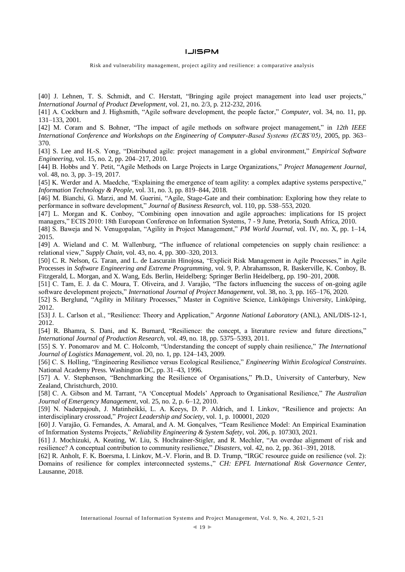Risk and vulnerability management, project agility and resilience: a comparative analysis

[40] J. Lehnen, T. S. Schmidt, and C. Herstatt, "Bringing agile project management into lead user projects," *International Journal of Product Development*, vol. 21, no. 2/3, p. 212-232, 2016.

[41] A. Cockburn and J. Highsmith, "Agile software development, the people factor," *Computer*, vol. 34, no. 11, pp. 131–133, 2001.

[42] M. Coram and S. Bohner, "The impact of agile methods on software project management," in *12th IEEE International Conference and Workshops on the Engineering of Computer-Based Systems (ECBS'05)*, 2005, pp. 363– 370.

[43] S. Lee and H.-S. Yong, "Distributed agile: project management in a global environment," *Empirical Software Engineering*, vol. 15, no. 2, pp. 204–217, 2010.

[44] B. Hobbs and Y. Petit, "Agile Methods on Large Projects in Large Organizations," *Project Management Journal*, vol. 48, no. 3, pp. 3–19, 2017.

[45] K. Werder and A. Maedche, "Explaining the emergence of team agility: a complex adaptive systems perspective," *Information Technology & People*, vol. 31, no. 3, pp. 819–844, 2018.

[46] M. Bianchi, G. Marzi, and M. Guerini, "Agile, Stage-Gate and their combination: Exploring how they relate to performance in software development," *Journal of Business Research*, vol. 110, pp. 538–553, 2020.

[47] L. Morgan and K. Conboy, "Combining open innovation and agile approaches: implications for IS project managers," ECIS 2010: 18th European Conference on Information Systems, 7 - 9 June, Pretoria, South Africa, 2010.

[48] S. Baweja and N. Venugopalan, "Agility in Project Management," *PM World Journal*, vol. IV, no. X, pp. 1–14, 2015.

[49] A. Wieland and C. M. Wallenburg, "The influence of relational competencies on supply chain resilience: a relational view," *Supply Chain*, vol. 43, no. 4, pp. 300–320, 2013.

[50] C. R. Nelson, G. Taran, and L. de Lascurain Hinojosa, "Explicit Risk Management in Agile Processes," in Agile Processes in *Software Engineering and Extreme Programming*, vol. 9, P. Abrahamsson, R. Baskerville, K. Conboy, B. Fitzgerald, L. Morgan, and X. Wang, Eds. Berlin, Heidelberg: Springer Berlin Heidelberg, pp. 190–201, 2008.

[51] C. Tam, E. J. da C. Moura, T. Oliveira, and J. Varajão, "The factors influencing the success of on-going agile software development projects," *International Journal of Project Management*, vol. 38, no. 3, pp. 165–176, 2020.

[52] S. Berglund, "Agility in Military Processes," Master in Cognitive Science, Linköpings University, Linköping, 2012.

[53] J. L. Carlson et al., "Resilience: Theory and Application," *Argonne National Laboratory* (ANL), ANL/DIS-12-1, 2012.

[54] R. Bhamra, S. Dani, and K. Burnard, "Resilience: the concept, a literature review and future directions," *International Journal of Production Research*, vol. 49, no. 18, pp. 5375–5393, 2011.

[55] S. Y. Ponomarov and M. C. Holcomb, "Understanding the concept of supply chain resilience," *The International Journal of Logistics Management*, vol. 20, no. 1, pp. 124–143, 2009.

[56] C. S. Holling, "Engineering Resilience versus Ecological Resilience," *Engineering Within Ecological Constraints*. National Academy Press. Washington DC, pp. 31–43, 1996.

[57] A. V. Stephenson, "Benchmarking the Resilience of Organisations," Ph.D., University of Canterbury, New Zealand, Christchurch, 2010.

[58] C. A. Gibson and M. Tarrant, "A 'Conceptual Models' Approach to Organisational Resilience," *The Australian Journal of Emergency Management*, vol. 25, no. 2, p. 6–12, 2010.

[59] N. Naderpajouh, J. Matinheikki, L. A. Keeys, D. P. Aldrich, and I. Linkov, "Resilience and projects: An interdisciplinary crossroad," *Project Leadership and Society*, vol. 1, p. 100001, 2020

[60] J. Varajão, G. Fernandes, A. Amaral, and A. M. Gonçalves, "Team Resilience Model: An Empirical Examination of Information Systems Projects," *Reliability Engineering & System Safety*, vol. 206, p. 107303, 2021.

[61] J. Mochizuki, A. Keating, W. Liu, S. Hochrainer-Stigler, and R. Mechler, "An overdue alignment of risk and resilience? A conceptual contribution to community resilience," *Disasters*, vol. 42, no. 2, pp. 361–391, 2018.

[62] R. Anholt, F. K. Boersma, I. Linkov, M.-V. Florin, and B. D. Trump, "IRGC resource guide on resilience (vol. 2): Domains of resilience for complex interconnected systems.," *CH: EPFL International Risk Governance Center*, Lausanne, 2018.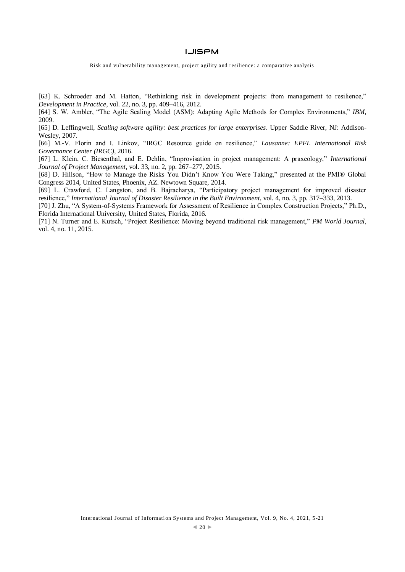Risk and vulnerability management, project agility and resilience: a comparative analysis

[63] K. Schroeder and M. Hatton, "Rethinking risk in development projects: from management to resilience," *Development in Practice*, vol. 22, no. 3, pp. 409–416, 2012.

[64] S. W. Ambler, "The Agile Scaling Model (ASM): Adapting Agile Methods for Complex Environments," *IBM*, 2009.

[65] D. Leffingwell, *Scaling software agility: best practices for large enterprises*. Upper Saddle River, NJ: Addison-Wesley, 2007.

[66] M.-V. Florin and I. Linkov, "IRGC Resource guide on resilience," *Lausanne: EPFL International Risk Governance Center (IRGC)*, 2016.

[67] L. Klein, C. Biesenthal, and E. Dehlin, "Improvisation in project management: A praxeology," *International Journal of Project Management*, vol. 33, no. 2, pp. 267–277, 2015.

[68] D. Hillson, "How to Manage the Risks You Didn't Know You Were Taking," presented at the PMI® Global Congress 2014, United States, Phoenix, AZ. Newtown Square, 2014.

[69] L. Crawford, C. Langston, and B. Bajracharya, "Participatory project management for improved disaster resilience," *International Journal of Disaster Resilience in the Built Environment*, vol. 4, no. 3, pp. 317–333, 2013.

[70] J. Zhu, "A System-of-Systems Framework for Assessment of Resilience in Complex Construction Projects," Ph.D., Florida International University, United States, Florida, 2016.

[71] N. Turner and E. Kutsch, "Project Resilience: Moving beyond traditional risk management," *PM World Journal*, vol. 4, no. 11, 2015.